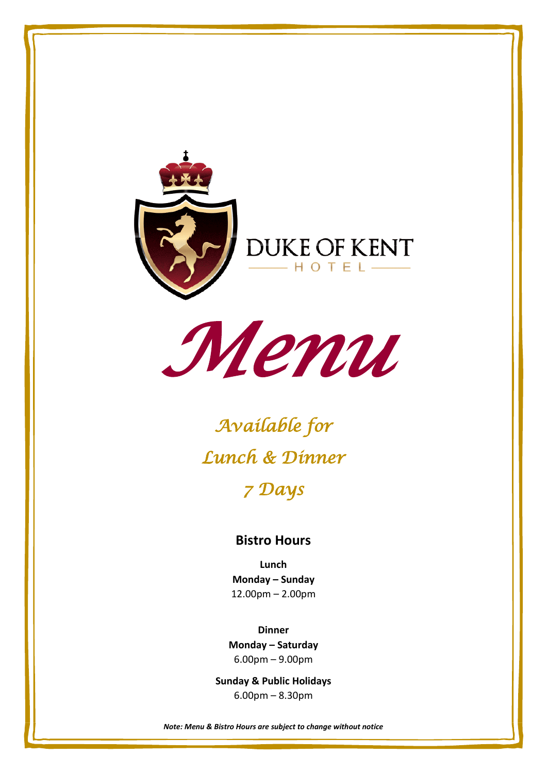



# *Available for Lunch & Dinner 7 Days*

#### **Bistro Hours**

**Lunch Monday – Sunday** 12.00pm – 2.00pm

**Dinner Monday – Saturday** 6.00pm – 9.00pm

**Sunday & Public Holidays** 6.00pm – 8.30pm

*Note: Menu & Bistro Hours are subject to change without notice*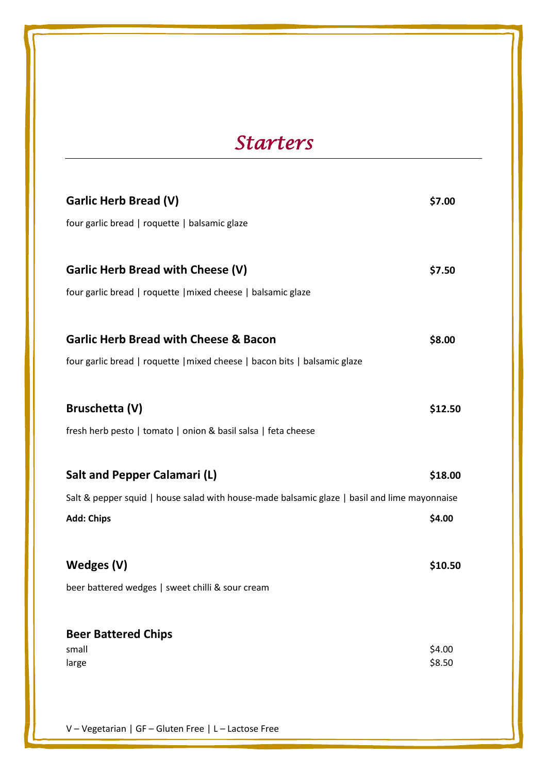## *Starters*

| Garlic Herb Bread (V)                                                                        | \$7.00           |
|----------------------------------------------------------------------------------------------|------------------|
| four garlic bread   roquette   balsamic glaze                                                |                  |
| <b>Garlic Herb Bread with Cheese (V)</b>                                                     | \$7.50           |
| four garlic bread   roquette   mixed cheese   balsamic glaze                                 |                  |
| <b>Garlic Herb Bread with Cheese &amp; Bacon</b>                                             | \$8.00           |
| four garlic bread   roquette   mixed cheese   bacon bits   balsamic glaze                    |                  |
|                                                                                              |                  |
| Bruschetta (V)                                                                               | \$12.50          |
| fresh herb pesto   tomato   onion & basil salsa   feta cheese                                |                  |
|                                                                                              |                  |
| Salt and Pepper Calamari (L)                                                                 | \$18.00          |
| Salt & pepper squid   house salad with house-made balsamic glaze   basil and lime mayonnaise |                  |
| <b>Add: Chips</b>                                                                            | \$4.00           |
|                                                                                              |                  |
| Wedges (V)                                                                                   | \$10.50          |
| beer battered wedges   sweet chilli & sour cream                                             |                  |
|                                                                                              |                  |
| <b>Beer Battered Chips</b>                                                                   |                  |
| small<br>large                                                                               | \$4.00<br>\$8.50 |
|                                                                                              |                  |

V – Vegetarian | GF – Gluten Free | L – Lactose Free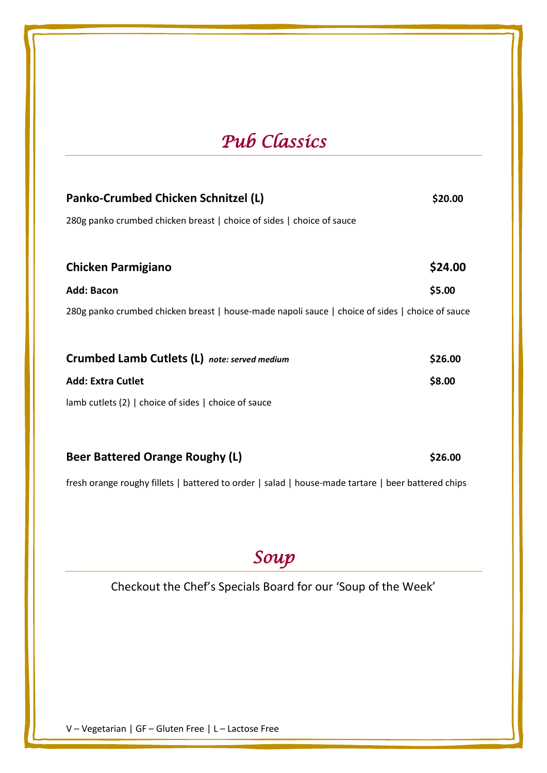### *Pub Classics*

| Panko-Crumbed Chicken Schnitzel (L)                                                             | \$20.00 |
|-------------------------------------------------------------------------------------------------|---------|
| 280g panko crumbed chicken breast   choice of sides   choice of sauce                           |         |
|                                                                                                 |         |
| <b>Chicken Parmigiano</b>                                                                       | \$24.00 |
| <b>Add: Bacon</b>                                                                               | \$5.00  |
| 280g panko crumbed chicken breast   house-made napoli sauce   choice of sides   choice of sauce |         |
|                                                                                                 |         |
| Crumbed Lamb Cutlets (L) note: served medium                                                    | \$26.00 |
| <b>Add: Extra Cutlet</b>                                                                        | \$8.00  |
| lamb cutlets (2)   choice of sides   choice of sauce                                            |         |
|                                                                                                 |         |

| <b>Beer Battered Orange Roughy (L)</b> | \$26.00 |
|----------------------------------------|---------|
|----------------------------------------|---------|

fresh orange roughy fillets | battered to order | salad | house-made tartare | beer battered chips

*Soup* 

Checkout the Chef's Specials Board for our 'Soup of the Week'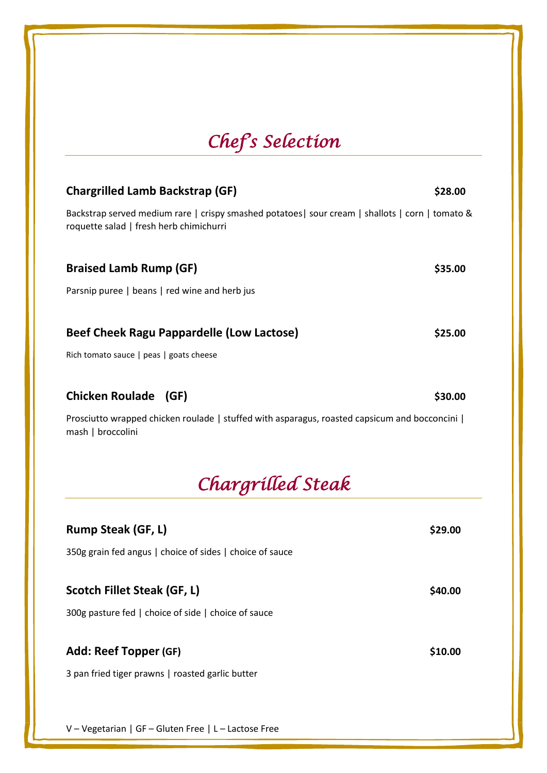## *Chef's Selection*

| <b>Chargrilled Lamb Backstrap (GF)</b>                                                                                                     | \$28.00 |
|--------------------------------------------------------------------------------------------------------------------------------------------|---------|
| Backstrap served medium rare   crispy smashed potatoes  sour cream   shallots   corn   tomato &<br>roquette salad   fresh herb chimichurri |         |
| <b>Braised Lamb Rump (GF)</b>                                                                                                              | \$35.00 |
| Parsnip puree   beans   red wine and herb jus                                                                                              |         |
| Beef Cheek Ragu Pappardelle (Low Lactose)                                                                                                  | \$25.00 |
| Rich tomato sauce   peas   goats cheese                                                                                                    |         |
| <b>Chicken Roulade</b><br>(GF)                                                                                                             | \$30.00 |
| Prosciutto wrapped chicken roulade   stuffed with asparagus, roasted capsicum and bocconcini  <br>mash   broccolini                        |         |
| Chargrilled Steak                                                                                                                          |         |
| <b>Rumn Steak (GF 1)</b>                                                                                                                   | 529 NO  |

| N                                                        | りムノ・VV  |
|----------------------------------------------------------|---------|
| 350g grain fed angus   choice of sides   choice of sauce |         |
| Scotch Fillet Steak (GF, L)                              | \$40.00 |
| 300g pasture fed   choice of side   choice of sauce      |         |
|                                                          |         |
| Add: Reef Topper (GF)                                    | \$10.00 |
| 3 pan fried tiger prawns   roasted garlic butter         |         |
|                                                          |         |
|                                                          |         |

V – Vegetarian | GF – Gluten Free | L – Lactose Free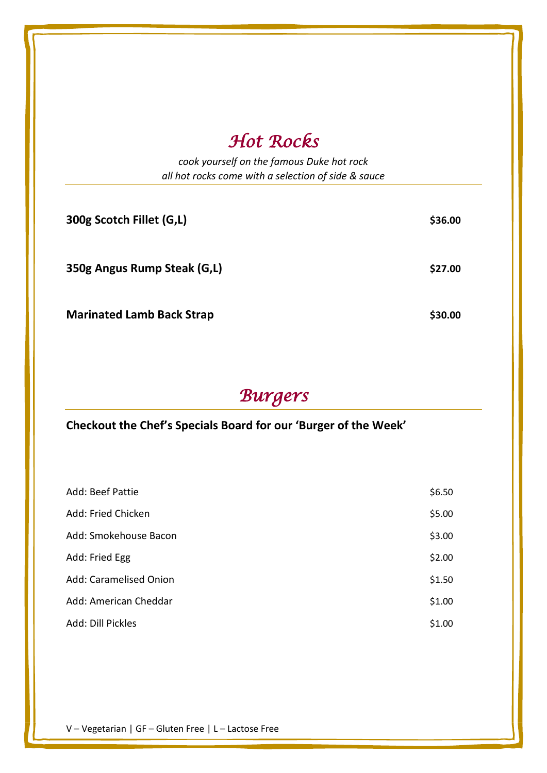### *Hot Rocks*

*cook yourself on the famous Duke hot rock all hot rocks come with a selection of side & sauce*

| 300g Scotch Fillet (G,L)         | \$36.00 |
|----------------------------------|---------|
| 350g Angus Rump Steak (G,L)      | \$27.00 |
| <b>Marinated Lamb Back Strap</b> | \$30.00 |

## *Burgers*

#### **Checkout the Chef's Specials Board for our 'Burger of the Week'**

| Add: Beef Pattie       | \$6.50 |
|------------------------|--------|
| Add: Fried Chicken     | \$5.00 |
| Add: Smokehouse Bacon  | \$3.00 |
| Add: Fried Egg         | \$2.00 |
| Add: Caramelised Onion | \$1.50 |
| Add: American Cheddar  | \$1.00 |
| Add: Dill Pickles      | \$1.00 |